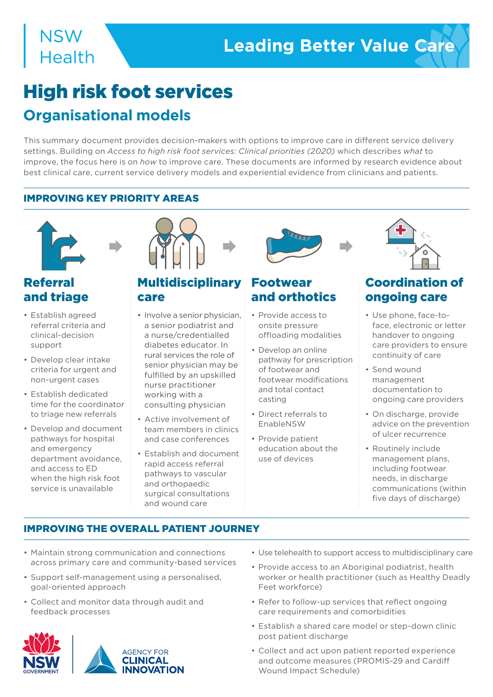# **NSW Health**

# High risk foot services **Organisational models**

This summary document provides decision-makers with options to improve care in different service delivery settings. Building on *Access to high risk foot services: Clinical priorities (2020)* which describes *what* to improve, the focus here is on *how* to improve care. These documents are informed by research evidence about best clinical care, current service delivery models and experiential evidence from clinicians and patients.

## IMPROVING KEY PRIORITY AREAS



# Referral and triage

- Establish agreed referral criteria and clinical-decision support
- Develop clear intake criteria for urgent and non-urgent cases
- Establish dedicated time for the coordinator to triage new referrals
- Develop and document pathways for hospital and emergency department avoidance, and access to ED when the high risk foot service is unavailable



# **Multidisciplinary** care

- Involve a senior physician, a senior podiatrist and a nurse/credentialled diabetes educator. In rural services the role of senior physician may be fulfilled by an upskilled nurse practitioner working with a consulting physician
- Active involvement of team members in clinics and case conferences
- Establish and document rapid access referral pathways to vascular and orthopaedic surgical consultations and wound care



# Footwear and orthotics

- Provide access to onsite pressure offloading modalities
- Develop an online pathway for prescription of footwear and footwear modifications and total contact casting
- Direct referrals to EnableNSW
- Provide patient education about the use of devices



# Coordination of ongoing care

- Use phone, face-toface, electronic or letter handover to ongoing care providers to ensure continuity of care
- Send wound management documentation to ongoing care providers
- On discharge, provide advice on the prevention of ulcer recurrence
- Routinely include management plans, including footwear needs, in discharge communications (within five days of discharge)

# IMPROVING THE OVERALL PATIENT JOURNEY

- Maintain strong communication and connections across primary care and community-based services
- Support self-management using a personalised, goal-oriented approach
- Collect and monitor data through audit and feedback processes



- Use telehealth to support access to multidisciplinary care
- Provide access to an Aboriginal podiatrist, health worker or health practitioner (such as Healthy Deadly Feet workforce)
- Refer to follow-up services that reflect ongoing care requirements and comorbidities
- Establish a shared care model or step-down clinic post patient discharge
- Collect and act upon patient reported experience and outcome measures (PROMIS-29 and Cardiff Wound Impact Schedule)